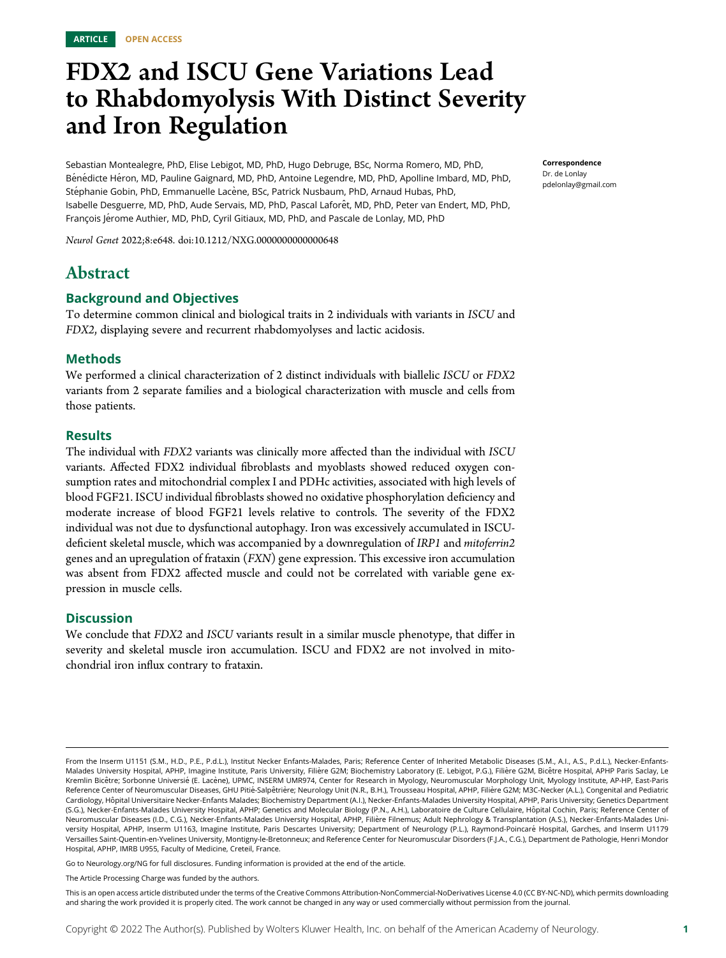# FDX2 and ISCU Gene Variations Lead to Rhabdomyolysis With Distinct Severity and Iron Regulation

Sebastian Montealegre, PhD, Elise Lebigot, MD, PhD, Hugo Debruge, BSc, Norma Romero, MD, PhD, Bénédicte Héron, MD, Pauline Gaignard, MD, PhD, Antoine Legendre, MD, PhD, Apolline Imbard, MD, PhD, Stéphanie Gobin, PhD, Emmanuelle Lacène, BSc, Patrick Nusbaum, PhD, Arnaud Hubas, PhD, Isabelle Desguerre, MD, PhD, Aude Servais, MD, PhD, Pascal Laforêt, MD, PhD, Peter van Endert, MD, PhD, François Jérome Authier, MD, PhD, Cyril Gitiaux, MD, PhD, and Pascale de Lonlay, MD, PhD

Neurol Genet 2022;8:e648. doi:[10.1212/NXG.0000000000000648](http://dx.doi.org/10.1212/NXG.0000000000000648)

### Abstract

### Background and Objectives

To determine common clinical and biological traits in 2 individuals with variants in ISCU and FDX2, displaying severe and recurrent rhabdomyolyses and lactic acidosis.

### Methods

We performed a clinical characterization of 2 distinct individuals with biallelic ISCU or FDX2 variants from 2 separate families and a biological characterization with muscle and cells from those patients.

#### **Results**

The individual with FDX2 variants was clinically more affected than the individual with ISCU variants. Affected FDX2 individual fibroblasts and myoblasts showed reduced oxygen consumption rates and mitochondrial complex I and PDHc activities, associated with high levels of blood FGF21. ISCU individual fibroblasts showed no oxidative phosphorylation deficiency and moderate increase of blood FGF21 levels relative to controls. The severity of the FDX2 individual was not due to dysfunctional autophagy. Iron was excessively accumulated in ISCUdeficient skeletal muscle, which was accompanied by a downregulation of IRP1 and mitoferrin2 genes and an upregulation of frataxin (FXN) gene expression. This excessive iron accumulation was absent from FDX2 affected muscle and could not be correlated with variable gene expression in muscle cells.

### **Discussion**

We conclude that FDX2 and ISCU variants result in a similar muscle phenotype, that differ in severity and skeletal muscle iron accumulation. ISCU and FDX2 are not involved in mitochondrial iron influx contrary to frataxin.

Go to [Neurology.org/NG](https://ng.neurology.org/content/8/1/e648/tab-article-info) for full disclosures. Funding information is provided at the end of the article.

The Article Processing Charge was funded by the authors.

Correspondence Dr. de Lonlay [pdelonlay@gmail.com](mailto:pdelonlay@gmail.com)

From the Inserm U1151 (S.M., H.D., P.E., P.d.L.), Institut Necker Enfants-Malades, Paris; Reference Center of Inherited Metabolic Diseases (S.M., A.I., A.S., P.d.L.), Necker-Enfants-Malades University Hospital, APHP, Imagine Institute, Paris University, Filière G2M; Biochemistry Laboratory (E. Lebigot, P.G.), Filière G2M, Bicêtre Hospital, APHP Paris Saclay, Le Kremlin Bicêtre; Sorbonne Universié (E. Lacène), UPMC, INSERM UMR974, Center for Research in Myology, Neuromuscular Morphology Unit, Myology Institute, AP-HP, East-Paris Reference Center of Neuromuscular Diseases, GHU Pitié-Salpêtrière; Neurology Unit (N.R., B.H.), Trousseau Hospital, APHP, Filière G2M; M3C-Necker (A.L.), Congenital and Pediatric Cardiology, Hôpital Universitaire Necker-Enfants Malades; Biochemistry Department (A.I.), Necker-Enfants-Malades University Hospital, APHP, Paris University; Genetics Department (S.G.), Necker-Enfants-Malades University Hospital, APHP; Genetics and Molecular Biology (P.N., A.H.), Laboratoire de Culture Cellulaire, Hôpital Cochin, Paris; Reference Center of Neuromuscular Diseases (I.D., C.G.), Necker-Enfants-Malades University Hospital, APHP, Filière Filnemus; Adult Nephrology & Transplantation (A.S.), Necker-Enfants-Malades University Hospital, APHP, Inserm U1163, Imagine Institute, Paris Descartes University; Department of Neurology (P.L.), Raymond-Poincaré Hospital, Garches, and Inserm U1179 Versailles Saint-Quentin-en-Yvelines University, Montigny-le-Bretonneux; and Reference Center for Neuromuscular Disorders (F.J.A., C.G.), Department de Pathologie, Henri Mondor Hospital, APHP, IMRB U955, Faculty of Medicine, Creteil, France.

This is an open access article distributed under the terms of the [Creative Commons Attribution-NonCommercial-NoDerivatives License 4.0 \(CC BY-NC-ND\),](http://creativecommons.org/licenses/by-nc-nd/4.0/) which permits downloading and sharing the work provided it is properly cited. The work cannot be changed in any way or used commercially without permission from the journal.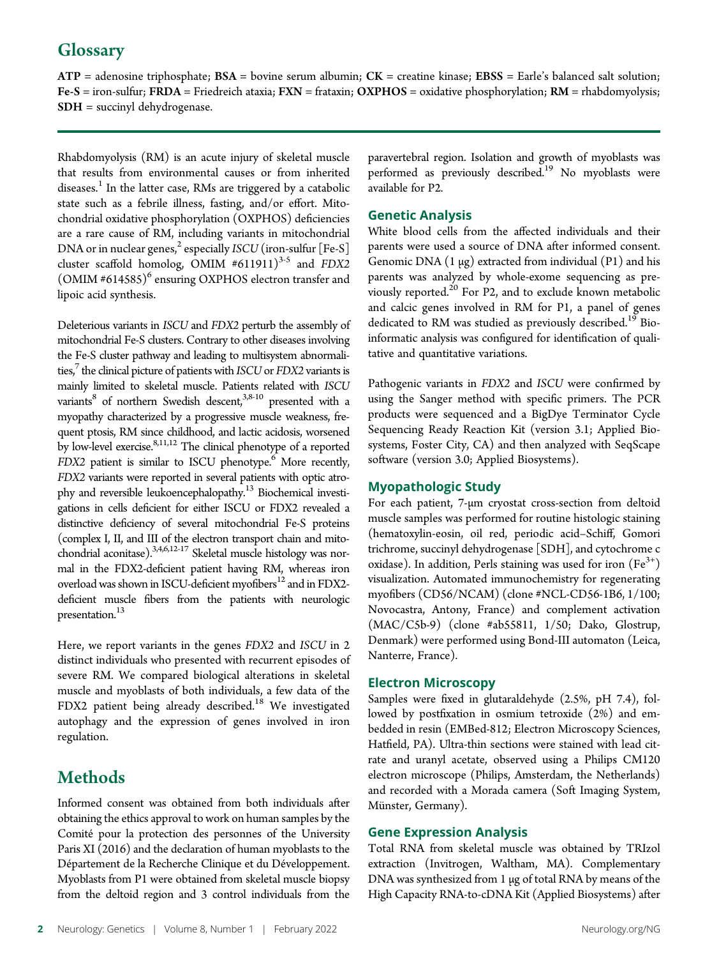## **Glossary**

 $ATP =$  adenosine triphosphate;  $BSA =$  bovine serum albumin;  $CK =$  creatine kinase;  $EBSS =$  Earle's balanced salt solution;  $Fe-S = iron-sulfur; FRDA = Friedreich ataxia; FXN = frataxin; OXPHOS = oxidative phosphorylation; RM = rhabdomyolysis;$ SDH = succinyl dehydrogenase.

Rhabdomyolysis (RM) is an acute injury of skeletal muscle that results from environmental causes or from inherited diseases.<sup>1</sup> In the latter case, RMs are triggered by a catabolic state such as a febrile illness, fasting, and/or effort. Mitochondrial oxidative phosphorylation (OXPHOS) deficiencies are a rare cause of RM, including variants in mitochondrial DNA or in nuclear genes,<sup>2</sup> especially *ISCU* (iron-sulfur [Fe-S] cluster scaffold homolog, OMIM  $#611911$ <sup>3-5</sup> and FDX2 (OMIM #614585)<sup>6</sup> ensuring OXPHOS electron transfer and lipoic acid synthesis.

Deleterious variants in ISCU and FDX2 perturb the assembly of mitochondrial Fe-S clusters. Contrary to other diseases involving the Fe-S cluster pathway and leading to multisystem abnormalities, $\frac{7}{7}$  the clinical picture of patients with ISCU or FDX2 variants is mainly limited to skeletal muscle. Patients related with ISCU variants<sup>8</sup> of northern Swedish descent,<sup>3,8-10</sup> presented with a myopathy characterized by a progressive muscle weakness, frequent ptosis, RM since childhood, and lactic acidosis, worsened by low-level exercise.<sup>8,11,12</sup> The clinical phenotype of a reported  $FDX2$  patient is similar to ISCU phenotype.<sup>6</sup> More recently, FDX2 variants were reported in several patients with optic atrophy and reversible leukoencephalopathy.<sup>13</sup> Biochemical investigations in cells deficient for either ISCU or FDX2 revealed a distinctive deficiency of several mitochondrial Fe-S proteins (complex I, II, and III of the electron transport chain and mitochondrial aconitase).<sup>3,4,6,12-17</sup> Skeletal muscle histology was normal in the FDX2-deficient patient having RM, whereas iron overload was shown in ISCU-deficient myofibers<sup>12</sup> and in FDX2deficient muscle fibers from the patients with neurologic presentation.<sup>13</sup>

Here, we report variants in the genes FDX2 and ISCU in 2 distinct individuals who presented with recurrent episodes of severe RM. We compared biological alterations in skeletal muscle and myoblasts of both individuals, a few data of the FDX2 patient being already described.<sup>18</sup> We investigated autophagy and the expression of genes involved in iron regulation.

# **Methods**

Informed consent was obtained from both individuals after obtaining the ethics approval to work on human samples by the Comité pour la protection des personnes of the University Paris XI (2016) and the declaration of human myoblasts to the Département de la Recherche Clinique et du Développement. Myoblasts from P1 were obtained from skeletal muscle biopsy from the deltoid region and 3 control individuals from the

paravertebral region. Isolation and growth of myoblasts was performed as previously described.<sup>19</sup> No myoblasts were available for P2.

### Genetic Analysis

White blood cells from the affected individuals and their parents were used a source of DNA after informed consent. Genomic DNA  $(1 \mu g)$  extracted from individual  $(P1)$  and his parents was analyzed by whole-exome sequencing as previously reported.<sup>20</sup> For P2, and to exclude known metabolic and calcic genes involved in RM for P1, a panel of genes dedicated to RM was studied as previously described.<sup>19</sup> Bioinformatic analysis was configured for identification of qualitative and quantitative variations.

Pathogenic variants in FDX2 and ISCU were confirmed by using the Sanger method with specific primers. The PCR products were sequenced and a BigDye Terminator Cycle Sequencing Ready Reaction Kit (version 3.1; Applied Biosystems, Foster City, CA) and then analyzed with SeqScape software (version 3.0; Applied Biosystems).

### Myopathologic Study

For each patient, 7-μm cryostat cross-section from deltoid muscle samples was performed for routine histologic staining (hematoxylin-eosin, oil red, periodic acid–Schiff, Gomori trichrome, succinyl dehydrogenase [SDH], and cytochrome c oxidase). In addition, Perls staining was used for iron  $(Fe<sup>3+</sup>)$ visualization. Automated immunochemistry for regenerating myofibers (CD56/NCAM) (clone #NCL-CD56-1B6, 1/100; Novocastra, Antony, France) and complement activation (MAC/C5b-9) (clone #ab55811, 1/50; Dako, Glostrup, Denmark) were performed using Bond-III automaton (Leica, Nanterre, France).

### Electron Microscopy

Samples were fixed in glutaraldehyde (2.5%, pH 7.4), followed by postfixation in osmium tetroxide (2%) and embedded in resin (EMBed-812; Electron Microscopy Sciences, Hatfield, PA). Ultra-thin sections were stained with lead citrate and uranyl acetate, observed using a Philips CM120 electron microscope (Philips, Amsterdam, the Netherlands) and recorded with a Morada camera (Soft Imaging System, Münster, Germany).

### Gene Expression Analysis

Total RNA from skeletal muscle was obtained by TRIzol extraction (Invitrogen, Waltham, MA). Complementary DNA was synthesized from 1 μg of total RNA by means of the High Capacity RNA-to-cDNA Kit (Applied Biosystems) after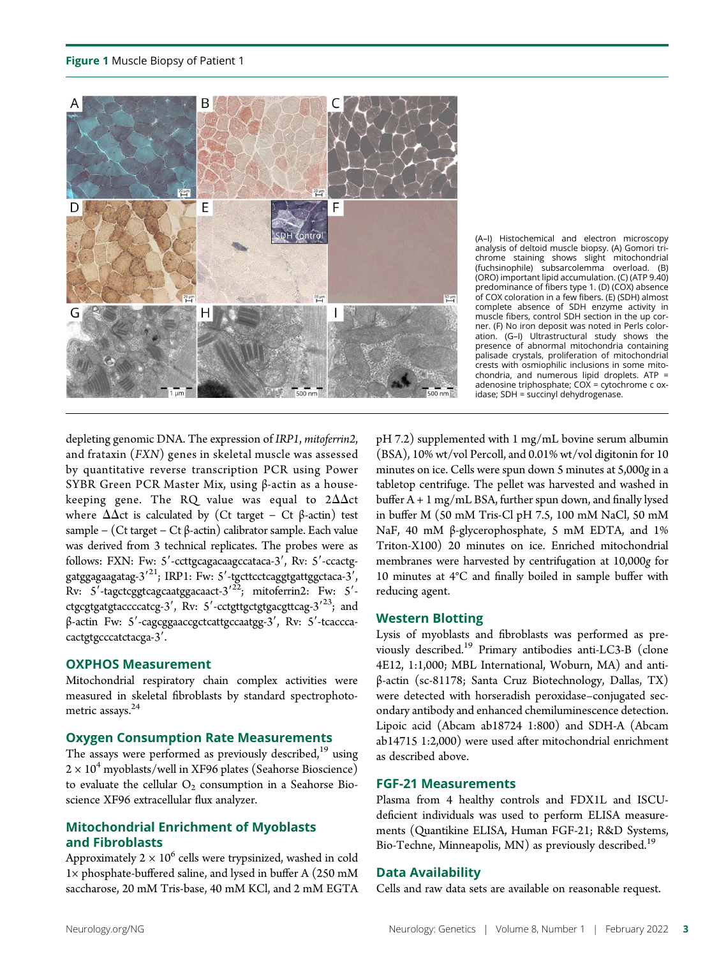

(A–I) Histochemical and electron microscopy analysis of deltoid muscle biopsy. (A) Gomori trichrome staining shows slight mitochondrial (fuchsinophile) subsarcolemma overload. (B) (ORO) important lipid accumulation. (C) (ATP 9.40) predominance of fibers type 1. (D) (COX) absence of COX coloration in a few fibers. (E) (SDH) almost complete absence of SDH enzyme activity in muscle fibers, control SDH section in the up corner. (F) No iron deposit was noted in Perls coloration. (G–I) Ultrastructural study shows the presence of abnormal mitochondria containing palisade crystals, proliferation of mitochondrial crests with osmiophilic inclusions in some mitochondria, and numerous lipid droplets. ATP = adenosine triphosphate; COX = cytochrome c oxidase; SDH = succinyl dehydrogenase.

depleting genomic DNA. The expression of IRP1, mitoferrin2, and frataxin (FXN) genes in skeletal muscle was assessed by quantitative reverse transcription PCR using Power SYBR Green PCR Master Mix, using β-actin as a housekeeping gene. The RQ value was equal to  $2\Delta\Delta ct$ where  $\Delta \Delta ct$  is calculated by (Ct target – Ct  $\beta$ -actin) test sample − (Ct target − Ct β-actin) calibrator sample. Each value was derived from 3 technical replicates. The probes were as follows: FXN: Fw: 5'-ccttgcagacaagccataca-3', Rv: 5'-ccactggatggagaagatag-3<sup>'21</sup>; IRP1: Fw: 5'-tgcttcctcaggtgattggctaca-3',  $Rv: 5'$ -tagctcggtcagcaatggacaact-3'<sup>22</sup>; mitoferrin2: Fw: 5'ctgcgtgatgtaccccatcg-3', Rv: 5'-cctgttgctgtgacgttcag-3'<sup>23</sup>; and β-actin Fw: 5'-cagcggaaccgctcattgccaatgg-3', Rv: 5'-tcacccacactgtgcccatctacga-3'.

#### OXPHOS Measurement

Mitochondrial respiratory chain complex activities were measured in skeletal fibroblasts by standard spectrophotometric assays.<sup>24</sup>

#### Oxygen Consumption Rate Measurements

The assays were performed as previously described, $19$  using  $2 \times 10^4$  myoblasts/well in XF96 plates (Seahorse Bioscience) to evaluate the cellular  $O_2$  consumption in a Seahorse Bioscience XF96 extracellular flux analyzer.

### Mitochondrial Enrichment of Myoblasts and Fibroblasts

Approximately  $2 \times 10^6$  cells were trypsinized, washed in cold 1× phosphate-buffered saline, and lysed in buffer A (250 mM saccharose, 20 mM Tris-base, 40 mM KCl, and 2 mM EGTA

pH 7.2) supplemented with 1 mg/mL bovine serum albumin (BSA), 10% wt/vol Percoll, and 0.01% wt/vol digitonin for 10 minutes on ice. Cells were spun down 5 minutes at 5,000g in a tabletop centrifuge. The pellet was harvested and washed in buffer A + 1 mg/mL BSA, further spun down, and finally lysed in buffer M (50 mM Tris-Cl pH 7.5, 100 mM NaCl, 50 mM NaF, 40 mM β-glycerophosphate, 5 mM EDTA, and 1% Triton-X100) 20 minutes on ice. Enriched mitochondrial membranes were harvested by centrifugation at 10,000g for 10 minutes at 4°C and finally boiled in sample buffer with reducing agent.

### Western Blotting

Lysis of myoblasts and fibroblasts was performed as previously described.<sup>19</sup> Primary antibodies anti-LC3-B (clone 4E12, 1:1,000; MBL International, Woburn, MA) and antiβ-actin (sc-81178; Santa Cruz Biotechnology, Dallas, TX) were detected with horseradish peroxidase–conjugated secondary antibody and enhanced chemiluminescence detection. Lipoic acid (Abcam ab18724 1:800) and SDH-A (Abcam ab14715 1:2,000) were used after mitochondrial enrichment as described above.

### FGF-21 Measurements

Plasma from 4 healthy controls and FDX1L and ISCUdeficient individuals was used to perform ELISA measurements (Quantikine ELISA, Human FGF-21; R&D Systems, Bio-Techne, Minneapolis, MN) as previously described.<sup>19</sup>

### Data Availability

Cells and raw data sets are available on reasonable request.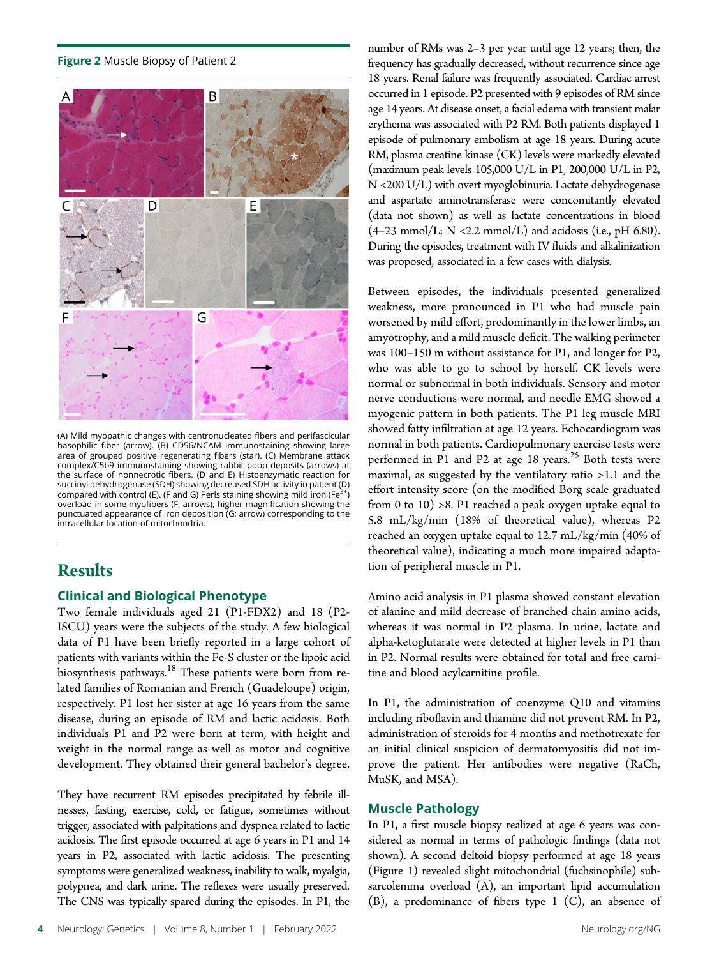#### Figure 2 Muscle Biopsy of Patient 2



(A) Mild myopathic changes with centronucleated fibers and perifascicular basophilic fiber (arrow). (B) CD56/NCAM immunostaining showing large area of grouped positive regenerating fibers (star). (C) Membrane attack complex/C5b9 immunostaining showing rabbit poop deposits (arrows) at the surface of nonnecrotic fibers. (D and E) Histoenzymatic reaction for succinyl dehydrogenase (SDH) showing decreased SDH activity in patient (D) compared with control (E). (F and G) Perls staining showing mild iron (Fe<sup>3+</sup>) overload in some myofibers (F; arrows); higher magnification showing the punctuated appearance of iron deposition (G; arrow) corresponding to the intracellular location of mitochondria.

### Results

### Clinical and Biological Phenotype

Two female individuals aged 21 (P1-FDX2) and 18 (P2- ISCU) years were the subjects of the study. A few biological data of P1 have been briefly reported in a large cohort of patients with variants within the Fe-S cluster or the lipoic acid biosynthesis pathways.<sup>18</sup> These patients were born from related families of Romanian and French (Guadeloupe) origin, respectively. P1 lost her sister at age 16 years from the same disease, during an episode of RM and lactic acidosis. Both individuals P1 and P2 were born at term, with height and weight in the normal range as well as motor and cognitive development. They obtained their general bachelor's degree.

They have recurrent RM episodes precipitated by febrile illnesses, fasting, exercise, cold, or fatigue, sometimes without trigger, associated with palpitations and dyspnea related to lactic acidosis. The first episode occurred at age 6 years in P1 and 14 years in P2, associated with lactic acidosis. The presenting symptoms were generalized weakness, inability to walk, myalgia, polypnea, and dark urine. The reflexes were usually preserved. The CNS was typically spared during the episodes. In P1, the

number of RMs was 2–3 per year until age 12 years; then, the frequency has gradually decreased, without recurrence since age 18 years. Renal failure was frequently associated. Cardiac arrest occurred in 1 episode. P2 presented with 9 episodes of RM since age 14 years. At disease onset, a facial edema with transient malar erythema was associated with P2 RM. Both patients displayed 1 episode of pulmonary embolism at age 18 years. During acute RM, plasma creatine kinase (CK) levels were markedly elevated (maximum peak levels 105,000 U/L in P1, 200,000 U/L in P2, N <200 U/L) with overt myoglobinuria. Lactate dehydrogenase and aspartate aminotransferase were concomitantly elevated (data not shown) as well as lactate concentrations in blood  $(4-23 \text{ mmol/L}; \text{N} < 2.2 \text{ mmol/L})$  and acidosis (i.e., pH 6.80). During the episodes, treatment with IV fluids and alkalinization was proposed, associated in a few cases with dialysis.

Between episodes, the individuals presented generalized weakness, more pronounced in P1 who had muscle pain worsened by mild effort, predominantly in the lower limbs, an amyotrophy, and a mild muscle deficit. The walking perimeter was 100–150 m without assistance for P1, and longer for P2, who was able to go to school by herself. CK levels were normal or subnormal in both individuals. Sensory and motor nerve conductions were normal, and needle EMG showed a myogenic pattern in both patients. The P1 leg muscle MRI showed fatty infiltration at age 12 years. Echocardiogram was normal in both patients. Cardiopulmonary exercise tests were performed in P1 and P2 at age 18 years.<sup>25</sup> Both tests were maximal, as suggested by the ventilatory ratio >1.1 and the effort intensity score (on the modified Borg scale graduated from 0 to 10) >8. P1 reached a peak oxygen uptake equal to 5.8 mL/kg/min (18% of theoretical value), whereas P2 reached an oxygen uptake equal to 12.7 mL/kg/min (40% of theoretical value), indicating a much more impaired adaptation of peripheral muscle in P1.

Amino acid analysis in P1 plasma showed constant elevation of alanine and mild decrease of branched chain amino acids, whereas it was normal in P2 plasma. In urine, lactate and alpha-ketoglutarate were detected at higher levels in P1 than in P2. Normal results were obtained for total and free carnitine and blood acylcarnitine profile.

In P1, the administration of coenzyme Q10 and vitamins including riboflavin and thiamine did not prevent RM. In P2, administration of steroids for 4 months and methotrexate for an initial clinical suspicion of dermatomyositis did not improve the patient. Her antibodies were negative (RaCh, MuSK, and MSA).

### Muscle Pathology

In P1, a first muscle biopsy realized at age 6 years was considered as normal in terms of pathologic findings (data not shown). A second deltoid biopsy performed at age 18 years (Figure 1) revealed slight mitochondrial (fuchsinophile) subsarcolemma overload (A), an important lipid accumulation (B), a predominance of fibers type 1 (C), an absence of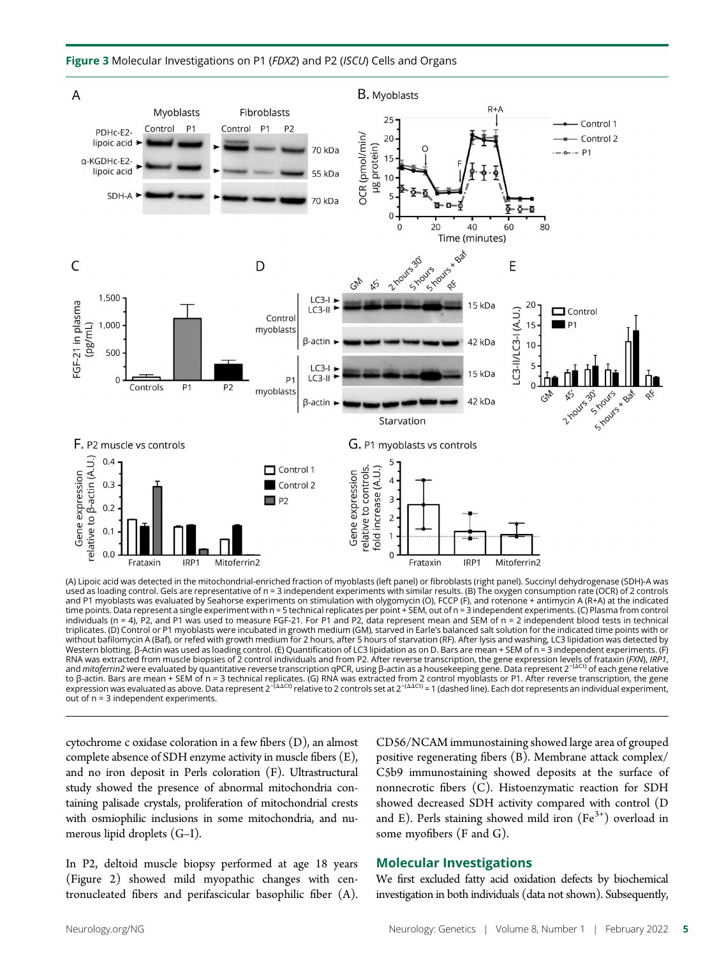

(A) Lipoic acid was detected in the mitochondrial-enriched fraction of myoblasts (left panel) or fibroblasts (right panel). Succinyl dehydrogenase (SDH)-A was used as loading control. Gels are representative of n = 3 independent experiments with similar results. (B) The oxygen consumption rate (OCR) of 2 controls and P1 myoblasts was evaluated by Seahorse experiments on stimulation with olygomycin (O), FCCP (F), and rotenone + antimycin A (R+A) at the indicated<br>time points. Data represent a single experiment with n = 5 technical re triplicates. (D) Control or P1 myoblasts were incubated in growth medium (GM), starved in Earle's balanced salt solution for the indicated time points with or without bafilomycin A (Baf), or refed with growth medium for 2 hours, after 5 hours of starvation (RF). After lysis and washing, LC3 lipidation was detected by Western blotting. β-Actin was used as loading control. (E) Quantification of LC3 lipidation as on D. Bars are mean + SEM of n = 3 independent experiments. (F) RNA was extracted from muscle biopsies of 2 control individuals and from P2. After reverse transcription, the gene expression levels of frataxin (*FXN*), *IRP1,*<br>and *mitoferrin2* were evaluated by quantitative reverse tr to β-actin. Bars are mean + SEM of n = 3 technical replicates. (G) RNA was extracted from 2 control myoblasts or P1. After reverse transcription, the gene<br>expression was evaluated as above. Data represent 2<sup>–(ΔΔCt)</sup> relati out of n = 3 independent experiments.

cytochrome c oxidase coloration in a few fibers (D), an almost complete absence of SDH enzyme activity in muscle fibers (E), and no iron deposit in Perls coloration (F). Ultrastructural study showed the presence of abnormal mitochondria containing palisade crystals, proliferation of mitochondrial crests with osmiophilic inclusions in some mitochondria, and numerous lipid droplets (G–I).

In P2, deltoid muscle biopsy performed at age 18 years (Figure 2) showed mild myopathic changes with centronucleated fibers and perifascicular basophilic fiber (A).

CD56/NCAM immunostaining showed large area of grouped positive regenerating fibers (B). Membrane attack complex/ C5b9 immunostaining showed deposits at the surface of nonnecrotic fibers (C). Histoenzymatic reaction for SDH showed decreased SDH activity compared with control (D and E). Perls staining showed mild iron  $(Fe<sup>3+</sup>)$  overload in some myofibers (F and G).

### Molecular Investigations

We first excluded fatty acid oxidation defects by biochemical investigation in both individuals (data not shown). Subsequently,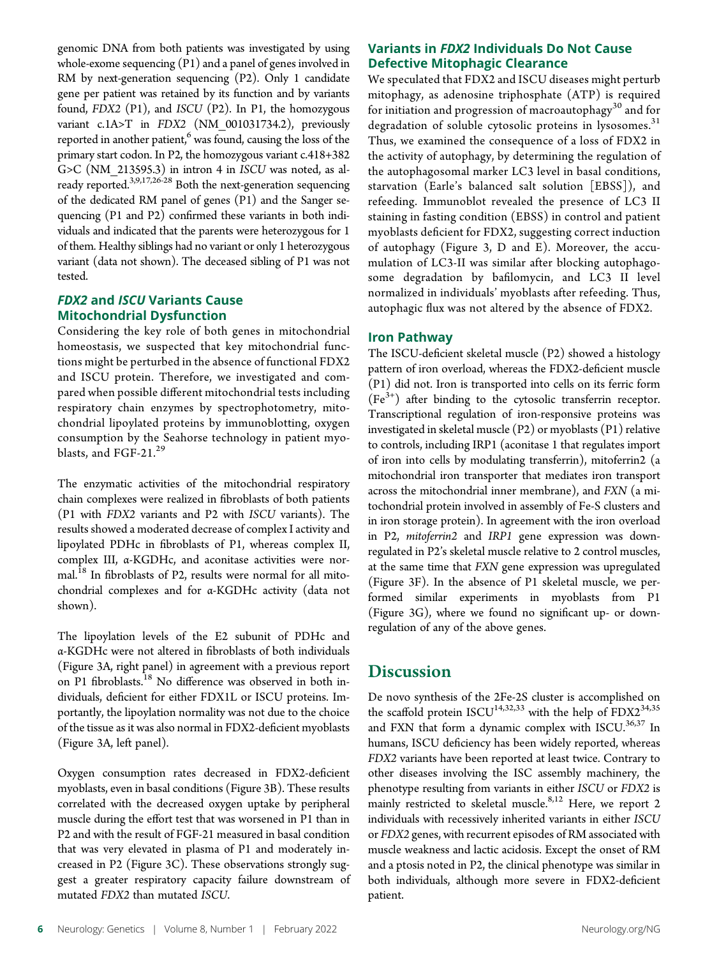genomic DNA from both patients was investigated by using whole-exome sequencing (P1) and a panel of genes involved in RM by next-generation sequencing (P2). Only 1 candidate gene per patient was retained by its function and by variants found, FDX2 (P1), and ISCU (P2). In P1, the homozygous variant c.1A>T in FDX2 (NM\_001031734.2), previously reported in another patient, $6$  was found, causing the loss of the primary start codon. In P2, the homozygous variant c.418+382 G>C (NM\_213595.3) in intron 4 in ISCU was noted, as already reported.3,9,17,26-28 Both the next-generation sequencing of the dedicated RM panel of genes (P1) and the Sanger sequencing (P1 and P2) confirmed these variants in both individuals and indicated that the parents were heterozygous for 1 of them. Healthy siblings had no variant or only 1 heterozygous variant (data not shown). The deceased sibling of P1 was not tested.

### FDX2 and ISCU Variants Cause Mitochondrial Dysfunction

Considering the key role of both genes in mitochondrial homeostasis, we suspected that key mitochondrial functions might be perturbed in the absence of functional FDX2 and ISCU protein. Therefore, we investigated and compared when possible different mitochondrial tests including respiratory chain enzymes by spectrophotometry, mitochondrial lipoylated proteins by immunoblotting, oxygen consumption by the Seahorse technology in patient myoblasts, and FGF-21.<sup>29</sup>

The enzymatic activities of the mitochondrial respiratory chain complexes were realized in fibroblasts of both patients (P1 with FDX2 variants and P2 with ISCU variants). The results showed a moderated decrease of complex I activity and lipoylated PDHc in fibroblasts of P1, whereas complex II, complex III, α-KGDHc, and aconitase activities were normal.<sup>18</sup> In fibroblasts of P2, results were normal for all mitochondrial complexes and for α-KGDHc activity (data not shown).

The lipoylation levels of the E2 subunit of PDHc and α-KGDHc were not altered in fibroblasts of both individuals (Figure 3A, right panel) in agreement with a previous report on P1 fibroblasts.<sup>18</sup> No difference was observed in both individuals, deficient for either FDX1L or ISCU proteins. Importantly, the lipoylation normality was not due to the choice of the tissue as it was also normal in FDX2-deficient myoblasts (Figure 3A, left panel).

Oxygen consumption rates decreased in FDX2-deficient myoblasts, even in basal conditions (Figure 3B). These results correlated with the decreased oxygen uptake by peripheral muscle during the effort test that was worsened in P1 than in P2 and with the result of FGF-21 measured in basal condition that was very elevated in plasma of P1 and moderately increased in P2 (Figure 3C). These observations strongly suggest a greater respiratory capacity failure downstream of mutated FDX2 than mutated ISCU.

### Variants in FDX2 Individuals Do Not Cause Defective Mitophagic Clearance

We speculated that FDX2 and ISCU diseases might perturb mitophagy, as adenosine triphosphate (ATP) is required for initiation and progression of macroautophagy<sup>30</sup> and for degradation of soluble cytosolic proteins in lysosomes. $31$ Thus, we examined the consequence of a loss of FDX2 in the activity of autophagy, by determining the regulation of the autophagosomal marker LC3 level in basal conditions, starvation (Earle's balanced salt solution [EBSS]), and refeeding. Immunoblot revealed the presence of LC3 II staining in fasting condition (EBSS) in control and patient myoblasts deficient for FDX2, suggesting correct induction of autophagy (Figure 3, D and E). Moreover, the accumulation of LC3-II was similar after blocking autophagosome degradation by bafilomycin, and LC3 II level normalized in individuals' myoblasts after refeeding. Thus, autophagic flux was not altered by the absence of FDX2.

### Iron Pathway

The ISCU-deficient skeletal muscle (P2) showed a histology pattern of iron overload, whereas the FDX2-deficient muscle (P1) did not. Iron is transported into cells on its ferric form  $(Fe<sup>3+</sup>)$  after binding to the cytosolic transferrin receptor. Transcriptional regulation of iron-responsive proteins was investigated in skeletal muscle (P2) or myoblasts (P1) relative to controls, including IRP1 (aconitase 1 that regulates import of iron into cells by modulating transferrin), mitoferrin2 (a mitochondrial iron transporter that mediates iron transport across the mitochondrial inner membrane), and FXN (a mitochondrial protein involved in assembly of Fe-S clusters and in iron storage protein). In agreement with the iron overload in P2, mitoferrin2 and IRP1 gene expression was downregulated in P2's skeletal muscle relative to 2 control muscles, at the same time that FXN gene expression was upregulated (Figure 3F). In the absence of P1 skeletal muscle, we performed similar experiments in myoblasts from P1 (Figure 3G), where we found no significant up- or downregulation of any of the above genes.

### **Discussion**

De novo synthesis of the 2Fe-2S cluster is accomplished on the scaffold protein ISCU<sup>14,32,33</sup> with the help of  $FDX2^{34,35}$ and FXN that form a dynamic complex with  $ISCU$ .<sup>36,37</sup> In humans, ISCU deficiency has been widely reported, whereas FDX2 variants have been reported at least twice. Contrary to other diseases involving the ISC assembly machinery, the phenotype resulting from variants in either ISCU or FDX2 is mainly restricted to skeletal muscle. $8,12$  Here, we report 2 individuals with recessively inherited variants in either ISCU or FDX2 genes, with recurrent episodes of RM associated with muscle weakness and lactic acidosis. Except the onset of RM and a ptosis noted in P2, the clinical phenotype was similar in both individuals, although more severe in FDX2-deficient patient.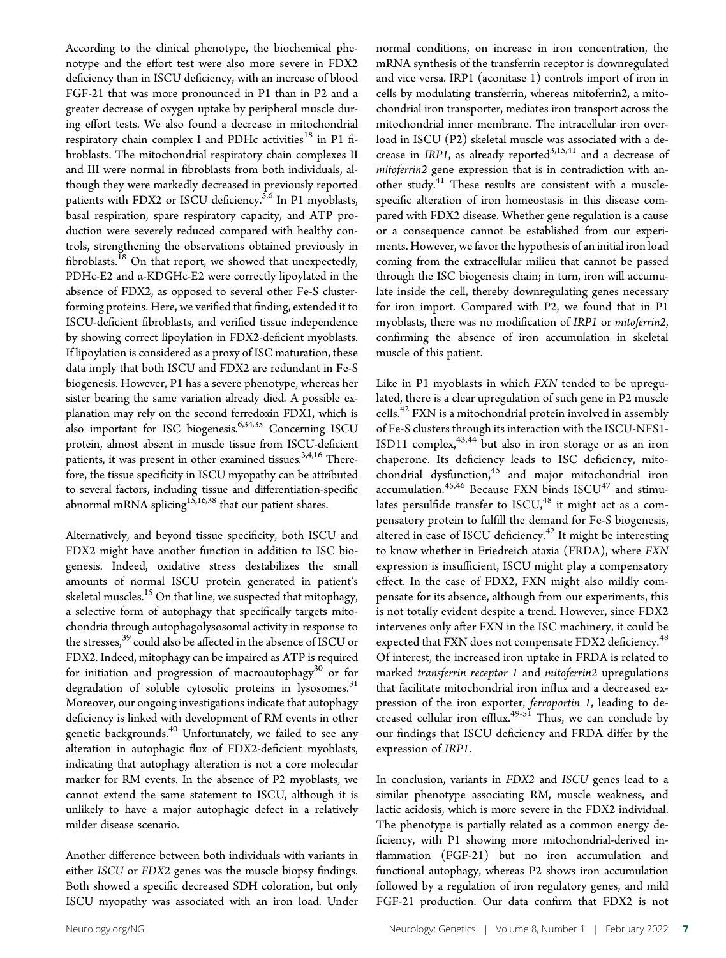According to the clinical phenotype, the biochemical phenotype and the effort test were also more severe in FDX2 deficiency than in ISCU deficiency, with an increase of blood FGF-21 that was more pronounced in P1 than in P2 and a greater decrease of oxygen uptake by peripheral muscle during effort tests. We also found a decrease in mitochondrial respiratory chain complex I and PDHc activities<sup>18</sup> in P1 fibroblasts. The mitochondrial respiratory chain complexes II and III were normal in fibroblasts from both individuals, although they were markedly decreased in previously reported patients with FDX2 or ISCU deficiency.<sup>5,6</sup> In P1 myoblasts, basal respiration, spare respiratory capacity, and ATP production were severely reduced compared with healthy controls, strengthening the observations obtained previously in fibroblasts.<sup>18</sup> On that report, we showed that unexpectedly, PDHc-E2 and α-KDGHc-E2 were correctly lipoylated in the absence of FDX2, as opposed to several other Fe-S clusterforming proteins. Here, we verified that finding, extended it to ISCU-deficient fibroblasts, and verified tissue independence by showing correct lipoylation in FDX2-deficient myoblasts. If lipoylation is considered as a proxy of ISC maturation, these data imply that both ISCU and FDX2 are redundant in Fe-S biogenesis. However, P1 has a severe phenotype, whereas her sister bearing the same variation already died. A possible explanation may rely on the second ferredoxin FDX1, which is also important for ISC biogenesis.<sup>6,34,35</sup> Concerning ISCU protein, almost absent in muscle tissue from ISCU-deficient patients, it was present in other examined tissues.<sup>3,4,16</sup> Therefore, the tissue specificity in ISCU myopathy can be attributed to several factors, including tissue and differentiation-specific abnormal mRNA splicing<sup>15,16,38</sup> that our patient shares.

Alternatively, and beyond tissue specificity, both ISCU and FDX2 might have another function in addition to ISC biogenesis. Indeed, oxidative stress destabilizes the small amounts of normal ISCU protein generated in patient's skeletal muscles.<sup>15</sup> On that line, we suspected that mitophagy, a selective form of autophagy that specifically targets mitochondria through autophagolysosomal activity in response to the stresses,<sup>39</sup> could also be affected in the absence of ISCU or FDX2. Indeed, mitophagy can be impaired as ATP is required for initiation and progression of macroautophagy<sup>30</sup> or for degradation of soluble cytosolic proteins in lysosomes. $31$ Moreover, our ongoing investigations indicate that autophagy deficiency is linked with development of RM events in other genetic backgrounds.<sup>40</sup> Unfortunately, we failed to see any alteration in autophagic flux of FDX2-deficient myoblasts, indicating that autophagy alteration is not a core molecular marker for RM events. In the absence of P2 myoblasts, we cannot extend the same statement to ISCU, although it is unlikely to have a major autophagic defect in a relatively milder disease scenario.

Another difference between both individuals with variants in either ISCU or FDX2 genes was the muscle biopsy findings. Both showed a specific decreased SDH coloration, but only ISCU myopathy was associated with an iron load. Under

normal conditions, on increase in iron concentration, the mRNA synthesis of the transferrin receptor is downregulated and vice versa. IRP1 (aconitase 1) controls import of iron in cells by modulating transferrin, whereas mitoferrin2, a mitochondrial iron transporter, mediates iron transport across the mitochondrial inner membrane. The intracellular iron overload in ISCU (P2) skeletal muscle was associated with a decrease in IRP1, as already reported $3,15,41$  and a decrease of mitoferrin2 gene expression that is in contradiction with another study.<sup>41</sup> These results are consistent with a musclespecific alteration of iron homeostasis in this disease compared with FDX2 disease. Whether gene regulation is a cause or a consequence cannot be established from our experiments. However, we favor the hypothesis of an initial iron load coming from the extracellular milieu that cannot be passed through the ISC biogenesis chain; in turn, iron will accumulate inside the cell, thereby downregulating genes necessary for iron import. Compared with P2, we found that in P1 myoblasts, there was no modification of IRP1 or mitoferrin2, confirming the absence of iron accumulation in skeletal muscle of this patient.

Like in P1 myoblasts in which FXN tended to be upregulated, there is a clear upregulation of such gene in P2 muscle cells.<sup>42</sup> FXN is a mitochondrial protein involved in assembly of Fe-S clusters through its interaction with the ISCU-NFS1- ISD11 complex,43,44 but also in iron storage or as an iron chaperone. Its deficiency leads to ISC deficiency, mitochondrial dysfunction, $45$  and major mitochondrial iron accumulation.<sup>45,46</sup> Because FXN binds  $ISCU^{47}$  and stimulates persulfide transfer to ISCU,<sup>48</sup> it might act as a compensatory protein to fulfill the demand for Fe-S biogenesis, altered in case of ISCU deficiency.<sup>42</sup> It might be interesting to know whether in Friedreich ataxia (FRDA), where FXN expression is insufficient, ISCU might play a compensatory effect. In the case of FDX2, FXN might also mildly compensate for its absence, although from our experiments, this is not totally evident despite a trend. However, since FDX2 intervenes only after FXN in the ISC machinery, it could be expected that FXN does not compensate FDX2 deficiency.<sup>48</sup> Of interest, the increased iron uptake in FRDA is related to marked transferrin receptor 1 and mitoferrin2 upregulations that facilitate mitochondrial iron influx and a decreased expression of the iron exporter, ferroportin 1, leading to decreased cellular iron  $\text{efflux.}^{49-51}$  Thus, we can conclude by our findings that ISCU deficiency and FRDA differ by the expression of IRP1.

In conclusion, variants in FDX2 and ISCU genes lead to a similar phenotype associating RM, muscle weakness, and lactic acidosis, which is more severe in the FDX2 individual. The phenotype is partially related as a common energy deficiency, with P1 showing more mitochondrial-derived inflammation (FGF-21) but no iron accumulation and functional autophagy, whereas P2 shows iron accumulation followed by a regulation of iron regulatory genes, and mild FGF-21 production. Our data confirm that FDX2 is not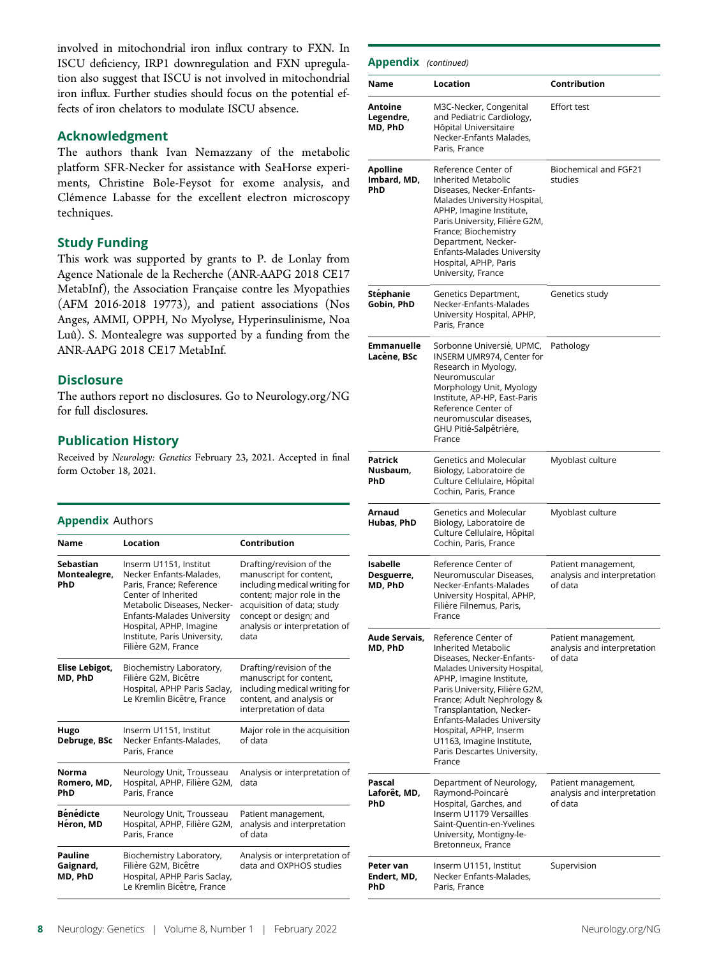involved in mitochondrial iron influx contrary to FXN. In ISCU deficiency, IRP1 downregulation and FXN upregulation also suggest that ISCU is not involved in mitochondrial iron influx. Further studies should focus on the potential effects of iron chelators to modulate ISCU absence.

### Acknowledgment

The authors thank Ivan Nemazzany of the metabolic platform SFR-Necker for assistance with SeaHorse experiments, Christine Bole-Feysot for exome analysis, and Clémence Labasse for the excellent electron microscopy techniques.

### Study Funding

This work was supported by grants to P. de Lonlay from Agence Nationale de la Recherche (ANR-AAPG 2018 CE17 MetabInf), the Association Française contre les Myopathies (AFM 2016-2018 19773), and patient associations (Nos Anges, AMMI, OPPH, No Myolyse, Hyperinsulinisme, Noa Luû). S. Montealegre was supported by a funding from the ANR-AAPG 2018 CE17 MetabInf.

### **Disclosure**

The authors report no disclosures. Go to [Neurology.org/NG](https://ng.neurology.org/content/8/1/e648/tab-article-info) for full disclosures.

### Publication History

Received by Neurology: Genetics February 23, 2021. Accepted in final form October 18, 2021.

#### Appendix Authors

| <b>Name</b>                             | Location                                                                                                                                                                                                                                            | Contribution                                                                                                                                                                                                        |
|-----------------------------------------|-----------------------------------------------------------------------------------------------------------------------------------------------------------------------------------------------------------------------------------------------------|---------------------------------------------------------------------------------------------------------------------------------------------------------------------------------------------------------------------|
| <b>Sebastian</b><br>Montealegre,<br>PhD | Inserm U1151, Institut<br>Necker Enfants-Malades.<br>Paris, France; Reference<br>Center of Inherited<br>Metabolic Diseases, Necker-<br>Enfants-Malades University<br>Hospital, APHP, Imagine<br>Institute, Paris University,<br>Filière G2M, France | Drafting/revision of the<br>manuscript for content,<br>including medical writing for<br>content; major role in the<br>acquisition of data; study<br>concept or design; and<br>analysis or interpretation of<br>data |
| Elise Lebigot,<br>MD, PhD               | Biochemistry Laboratory,<br>Filière G2M, Bicêtre<br>Hospital, APHP Paris Saclay,<br>Le Kremlin Bicêtre, France                                                                                                                                      | Drafting/revision of the<br>manuscript for content,<br>including medical writing for<br>content, and analysis or<br>interpretation of data                                                                          |
| Hugo<br>Debruge, BSc                    | Inserm U1151, Institut<br>Necker Enfants-Malades,<br>Paris, France                                                                                                                                                                                  | Major role in the acquisition<br>of data                                                                                                                                                                            |
| Norma<br>Romero, MD,<br>PhD             | Neurology Unit, Trousseau<br>Hospital, APHP, Filière G2M,<br>Paris, France                                                                                                                                                                          | Analysis or interpretation of<br>data                                                                                                                                                                               |
| <b>Bénédicte</b><br>Héron, MD           | Neurology Unit, Trousseau<br>Hospital, APHP, Filière G2M,<br>Paris, France                                                                                                                                                                          | Patient management,<br>analysis and interpretation<br>of data                                                                                                                                                       |
| <b>Pauline</b><br>Gaignard,<br>MD, PhD  | Biochemistry Laboratory,<br>Filière G2M, Bicêtre<br>Hospital, APHP Paris Saclay,<br>Le Kremlin Bicêtre, France                                                                                                                                      | Analysis or interpretation of<br>data and OXPHOS studies                                                                                                                                                            |

| <b>Appendix</b> (continued)       |                                                                                                                                                                                                                                                                                                                                                                      |                                                               |
|-----------------------------------|----------------------------------------------------------------------------------------------------------------------------------------------------------------------------------------------------------------------------------------------------------------------------------------------------------------------------------------------------------------------|---------------------------------------------------------------|
| Name                              | Location                                                                                                                                                                                                                                                                                                                                                             | Contribution                                                  |
| Antoine<br>Legendre,<br>MD, PhD   | M3C-Necker, Congenital<br>and Pediatric Cardiology,<br>Hôpital Universitaire<br>Necker-Enfants Malades,<br>Paris, France                                                                                                                                                                                                                                             | <b>Effort test</b>                                            |
| Apolline<br>Imbard, MD,<br>PhD    | Reference Center of<br><b>Inherited Metabolic</b><br>Diseases, Necker-Enfants-<br>Malades University Hospital,<br>APHP, Imagine Institute,<br>Paris University, Filière G2M,<br>France; Biochemistry<br>Department, Necker-<br><b>Enfants-Malades University</b><br>Hospital, APHP, Paris<br>University, France                                                      | <b>Biochemical and FGF21</b><br>studies                       |
| Stephanie<br>Gobin, PhD           | Genetics Department,<br>Necker-Enfants-Malades<br>University Hospital, APHP,<br>Paris, France                                                                                                                                                                                                                                                                        | Genetics study                                                |
| Emmanuelle<br>Lacene, BSc         | Sorbonne Universié, UPMC,<br>INSERM UMR974, Center for<br>Research in Myology,<br>Neuromuscular<br>Morphology Unit, Myology<br>Institute, AP-HP, East-Paris<br>Reference Center of<br>neuromuscular diseases,<br>GHU Pitié-Salpêtrière,<br>France                                                                                                                    | Pathology                                                     |
| Patrick<br>Nusbaum,<br>PhD        | Genetics and Molecular<br>Biology, Laboratoire de<br>Culture Cellulaire, Hôpital<br>Cochin, Paris, France                                                                                                                                                                                                                                                            | Myoblast culture                                              |
| Arnaud<br>Hubas, PhD              | Genetics and Molecular<br>Biology, Laboratoire de<br>Culture Cellulaire, Hôpital<br>Cochin, Paris, France                                                                                                                                                                                                                                                            | Myoblast culture                                              |
| Isabelle<br>Desguerre,<br>MD, PhD | Reference Center of<br>Neuromuscular Diseases,<br>Necker-Enfants-Malades<br>University Hospital, APHP,<br>Filière Filnemus, Paris,<br>France                                                                                                                                                                                                                         | Patient management,<br>analysis and interpretation<br>of data |
| Aude Servais,<br>MD, PhD          | Reference Center of<br><b>Inherited Metabolic</b><br>Diseases, Necker-Enfants-<br>Malades University Hospital,<br>APHP, Imagine Institute,<br>Paris University, Filière G2M,<br>France; Adult Nephrology &<br>Transplantation, Necker-<br>Enfants-Malades University<br>Hospital, APHP, Inserm<br>U1163, Imagine Institute,<br>Paris Descartes University,<br>France | Patient management,<br>analysis and interpretation<br>of data |
| Pascal<br>Laforët, MD,<br>PhD     | Department of Neurology,<br>Raymond-Poincaré<br>Hospital, Garches, and<br>Inserm U1179 Versailles<br>Saint-Quentin-en-Yvelines<br>University, Montigny-le-<br>Bretonneux, France                                                                                                                                                                                     | Patient management,<br>analysis and interpretation<br>of data |
| Peter van<br>Endert, MD,<br>PhD   | Inserm U1151, Institut<br>Necker Enfants-Malades,<br>Paris, France                                                                                                                                                                                                                                                                                                   | Supervision                                                   |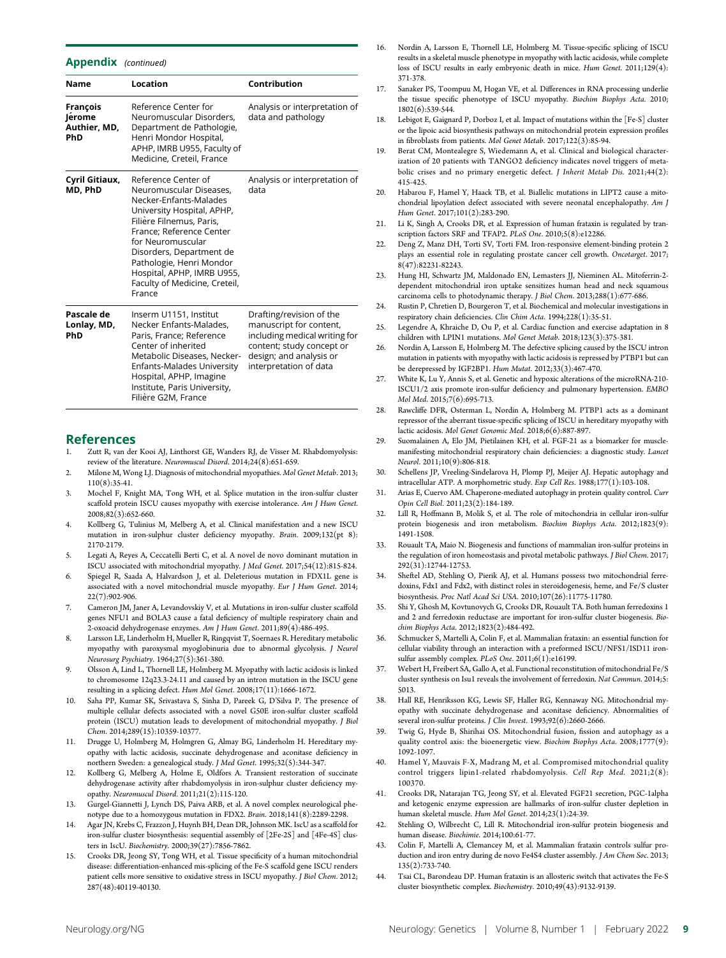#### Appendix (continued)

| Name                                      | Location                                                                                                                                                                                                                                                                                                             | Contribution                                                                                                                                                           |
|-------------------------------------------|----------------------------------------------------------------------------------------------------------------------------------------------------------------------------------------------------------------------------------------------------------------------------------------------------------------------|------------------------------------------------------------------------------------------------------------------------------------------------------------------------|
| François<br>Jérome<br>Authier, MD,<br>PhD | Reference Center for<br>Neuromuscular Disorders,<br>Department de Pathologie,<br>Henri Mondor Hospital,<br>APHP, IMRB U955, Faculty of<br>Medicine, Creteil, France                                                                                                                                                  | Analysis or interpretation of<br>data and pathology                                                                                                                    |
| Cyril Gitiaux,<br>MD, PhD                 | Reference Center of<br>Neuromuscular Diseases,<br>Necker-Enfants-Malades<br>University Hospital, APHP,<br>Filière Filnemus, Paris,<br>France; Reference Center<br>for Neuromuscular<br>Disorders, Department de<br>Pathologie, Henri Mondor<br>Hospital, APHP, IMRB U955,<br>Faculty of Medicine, Creteil,<br>France | Analysis or interpretation of<br>data                                                                                                                                  |
| Pascale de<br>Lonlay, MD,<br>PhD          | Inserm U1151, Institut<br>Necker Enfants-Malades.<br>Paris, France; Reference<br>Center of inherited<br>Metabolic Diseases, Necker-<br>Enfants-Malades University<br>Hospital, APHP, Imagine<br>Institute, Paris University,<br>Filière G2M, France                                                                  | Drafting/revision of the<br>manuscript for content,<br>including medical writing for<br>content; study concept or<br>design; and analysis or<br>interpretation of data |

#### References

- 1. Zutt R, van der Kooi AJ, Linthorst GE, Wanders RJ, de Visser M. Rhabdomyolysis: review of the literature. Neuromuscul Disord. 2014;24(8):651-659.
- 2. Milone M, Wong LJ. Diagnosis of mitochondrial myopathies. Mol Genet Metab. 2013; 110(8):35-41.
- 3. Mochel F, Knight MA, Tong WH, et al. Splice mutation in the iron-sulfur cluster scaffold protein ISCU causes myopathy with exercise intolerance. Am J Hum Genet.  $2008:82(3):652-660.$
- 4. Kollberg G, Tulinius M, Melberg A, et al. Clinical manifestation and a new ISCU mutation in iron-sulphur cluster deficiency myopathy. Brain. 2009;132(pt 8): 2170-2179.
- 5. Legati A, Reyes A, Ceccatelli Berti C, et al. A novel de novo dominant mutation in ISCU associated with mitochondrial myopathy. J Med Genet. 2017;54(12):815-824.
- 6. Spiegel R, Saada A, Halvardson J, et al. Deleterious mutation in FDX1L gene is associated with a novel mitochondrial muscle myopathy. Eur J Hum Genet. 2014; 22(7):902-906.
- 7. Cameron JM, Janer A, Levandovskiy V, et al. Mutations in iron-sulfur cluster scaffold genes NFU1 and BOLA3 cause a fatal deficiency of multiple respiratory chain and 2-oxoacid dehydrogenase enzymes. Am J Hum Genet. 2011;89(4):486-495.
- 8. Larsson LE, Linderholm H, Mueller R, Ringqvist T, Soernaes R. Hereditary metabolic myopathy with paroxysmal myoglobinuria due to abnormal glycolysis. J Neurol Neurosurg Psychiatry. 1964;27(5):361-380.
- 9. Olsson A, Lind L, Thornell LE, Holmberg M. Myopathy with lactic acidosis is linked to chromosome 12q23.3-24.11 and caused by an intron mutation in the ISCU gene resulting in a splicing defect. Hum Mol Genet. 2008;17(11):1666-1672.
- 10. Saha PP, Kumar SK, Srivastava S, Sinha D, Pareek G, D'Silva P. The presence of multiple cellular defects associated with a novel G50E iron-sulfur cluster scaffold protein (ISCU) mutation leads to development of mitochondrial myopathy. J Biol Chem. 2014;289(15):10359-10377.
- 11. Drugge U, Holmberg M, Holmgren G, Almay BG, Linderholm H. Hereditary myopathy with lactic acidosis, succinate dehydrogenase and aconitase deficiency in northern Sweden: a genealogical study. J Med Genet. 1995;32(5):344-347.
- 12. Kollberg G, Melberg A, Holme E, Oldfors A. Transient restoration of succinate dehydrogenase activity after rhabdomyolysis in iron-sulphur cluster deficiency myopathy. Neuromuscul Disord. 2011;21(2):115-120.
- 13. Gurgel-Giannetti J, Lynch DS, Paiva ARB, et al. A novel complex neurological phenotype due to a homozygous mutation in FDX2. Brain. 2018;141(8):2289-2298.
- 14. Agar JN, Krebs C, Frazzon J, Huynh BH, Dean DR, Johnson MK. IscU as a scaffold for iron-sulfur cluster biosynthesis: sequential assembly of [2Fe-2S] and [4Fe-4S] clusters in IscU. Biochemistry. 2000;39(27):7856-7862.
- 15. Crooks DR, Jeong SY, Tong WH, et al. Tissue specificity of a human mitochondrial disease: differentiation-enhanced mis-splicing of the Fe-S scaffold gene ISCU renders patient cells more sensitive to oxidative stress in ISCU myopathy. J Biol Chem. 2012; 287(48):40119-40130.
- 16. Nordin A, Larsson E, Thornell LE, Holmberg M. Tissue-specific splicing of ISCU results in a skeletal muscle phenotype in myopathy with lactic acidosis, while complete loss of ISCU results in early embryonic death in mice. Hum Genet. 2011;129(4): 371-378.
- 17. Sanaker PS, Toompuu M, Hogan VE, et al. Differences in RNA processing underlie the tissue specific phenotype of ISCU myopathy. Biochim Biophys Acta. 2010; 1802(6):539-544.
- 18. Lebigot E, Gaignard P, Dorboz I, et al. Impact of mutations within the [Fe-S] cluster or the lipoic acid biosynthesis pathways on mitochondrial protein expression profiles in fibroblasts from patients. Mol Genet Metab. 2017;122(3):85-94.
- 19. Berat CM, Montealegre S, Wiedemann A, et al. Clinical and biological characterization of 20 patients with TANGO2 deficiency indicates novel triggers of metabolic crises and no primary energetic defect. J Inherit Metab Dis. 2021;44(2): 415-425.
- 20. Habarou F, Hamel Y, Haack TB, et al. Biallelic mutations in LIPT2 cause a mitochondrial lipoylation defect associated with severe neonatal encephalopathy. Am J Hum Genet. 2017;101(2):283-290.
- 21. Li K, Singh A, Crooks DR, et al. Expression of human frataxin is regulated by transcription factors SRF and TFAP2. PLoS One. 2010;5(8):e12286.
- 22. Deng Z, Manz DH, Torti SV, Torti FM. Iron-responsive element-binding protein 2 plays an essential role in regulating prostate cancer cell growth. Oncotarget. 2017; 8(47):82231-82243.
- 23. Hung HI, Schwartz JM, Maldonado EN, Lemasters JJ, Nieminen AL. Mitoferrin-2 dependent mitochondrial iron uptake sensitizes human head and neck squamous carcinoma cells to photodynamic therapy. J Biol Chem. 2013;288(1):677-686.
- 24. Rustin P, Chretien D, Bourgeron T, et al. Biochemical and molecular investigations in respiratory chain deficiencies. Clin Chim Acta. 1994;228(1):35-51.
- 25. Legendre A, Khraiche D, Ou P, et al. Cardiac function and exercise adaptation in 8 children with LPIN1 mutations. Mol Genet Metab. 2018;123(3):375-381.
- 26. Nordin A, Larsson E, Holmberg M. The defective splicing caused by the ISCU intron mutation in patients with myopathy with lactic acidosis is repressed by PTBP1 but can be derepressed by IGF2BP1. Hum Mutat. 2012;33(3):467-470.
- 27. White K, Lu Y, Annis S, et al. Genetic and hypoxic alterations of the microRNA-210- ISCU1/2 axis promote iron-sulfur deficiency and pulmonary hypertension. EMBO Mol Med. 2015;7(6):695-713.
- 28. Rawcliffe DFR, Osterman L, Nordin A, Holmberg M. PTBP1 acts as a dominant repressor of the aberrant tissue-specific splicing of ISCU in hereditary myopathy with lactic acidosis. Mol Genet Genomic Med. 2018;6(6):887-897.
- 29. Suomalainen A, Elo JM, Pietilainen KH, et al. FGF-21 as a biomarker for musclemanifesting mitochondrial respiratory chain deficiencies: a diagnostic study. Lancet Neurol. 2011;10(9):806-818.
- 30. Schellens JP, Vreeling-Sindelarova H, Plomp PJ, Meijer AJ. Hepatic autophagy and intracellular ATP. A morphometric study. Exp Cell Res. 1988;177(1):103-108.
- 31. Arias E, Cuervo AM. Chaperone-mediated autophagy in protein quality control. Curr Opin Cell Biol. 2011;23(2):184-189.
- 32. Lill R, Hoffmann B, Molik S, et al. The role of mitochondria in cellular iron-sulfur protein biogenesis and iron metabolism. Biochim Biophys Acta. 2012;1823(9): 1491-1508.
- 33. Rouault TA, Maio N. Biogenesis and functions of mammalian iron-sulfur proteins in the regulation of iron homeostasis and pivotal metabolic pathways. J Biol Chem. 2017; 292(31):12744-12753.
- 34. Sheftel AD, Stehling O, Pierik AJ, et al. Humans possess two mitochondrial ferredoxins, Fdx1 and Fdx2, with distinct roles in steroidogenesis, heme, and Fe/S cluster biosynthesis. Proc Natl Acad Sci USA. 2010;107(26):11775-11780.
- 35. Shi Y, Ghosh M, Kovtunovych G, Crooks DR, Rouault TA. Both human ferredoxins 1 and 2 and ferredoxin reductase are important for iron-sulfur cluster biogenesis. Biochim Biophys Acta. 2012;1823(2):484-492.
- 36. Schmucker S, Martelli A, Colin F, et al. Mammalian frataxin: an essential function for cellular viability through an interaction with a preformed ISCU/NFS1/ISD11 ironsulfur assembly complex. PLoS One. 2011;6(1):e16199.
- 37. Webert H, Freibert SA, Gallo A, et al. Functional reconstitution of mitochondrial Fe/S cluster synthesis on Isu1 reveals the involvement of ferredoxin. Nat Commun. 2014;5: 5013.
- 38. Hall RE, Henriksson KG, Lewis SF, Haller RG, Kennaway NG. Mitochondrial myopathy with succinate dehydrogenase and aconitase deficiency. Abnormalities of several iron-sulfur proteins. J Clin Invest. 1993;92(6):2660-2666.
- 39. Twig G, Hyde B, Shirihai OS. Mitochondrial fusion, fission and autophagy as a quality control axis: the bioenergetic view. Biochim Biophys Acta. 2008;1777(9): 1092-1097.
- 40. Hamel Y, Mauvais F-X, Madrang M, et al. Compromised mitochondrial quality control triggers lipin1-related rhabdomyolysis. Cell Rep Med. 2021;2(8): 100370.
- 41. Crooks DR, Natarajan TG, Jeong SY, et al. Elevated FGF21 secretion, PGC-1alpha and ketogenic enzyme expression are hallmarks of iron-sulfur cluster depletion in human skeletal muscle. Hum Mol Genet. 2014;23(1):24-39.
- 42. Stehling O, Wilbrecht C, Lill R. Mitochondrial iron-sulfur protein biogenesis and human disease. Biochimie. 2014;100:61-77.
- 43. Colin F, Martelli A, Clemancey M, et al. Mammalian frataxin controls sulfur production and iron entry during de novo Fe4S4 cluster assembly. J Am Chem Soc. 2013; 135(2):733-740.
- 44. Tsai CL, Barondeau DP. Human frataxin is an allosteric switch that activates the Fe-S cluster biosynthetic complex. Biochemistry. 2010;49(43):9132-9139.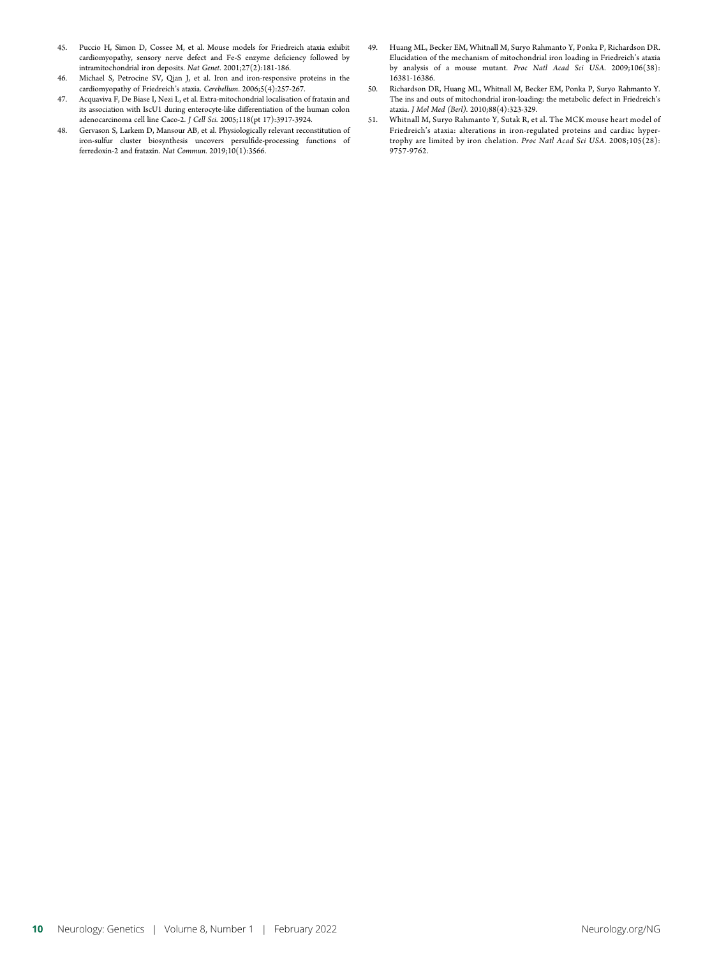- 45. Puccio H, Simon D, Cossee M, et al. Mouse models for Friedreich ataxia exhibit cardiomyopathy, sensory nerve defect and Fe-S enzyme deficiency followed by intramitochondrial iron deposits. Nat Genet. 2001;27(2):181-186.
- 46. Michael S, Petrocine SV, Qian J, et al. Iron and iron-responsive proteins in the cardiomyopathy of Friedreich's ataxia. Cerebellum. 2006;5(4):257-267.
- 47. Acquaviva F, De Biase I, Nezi L, et al. Extra-mitochondrial localisation of frataxin and its association with IscU1 during enterocyte-like differentiation of the human colon adenocarcinoma cell line Caco-2. J Cell Sci. 2005;118(pt 17):3917-3924.
- 48. Gervason S, Larkem D, Mansour AB, et al. Physiologically relevant reconstitution of iron-sulfur cluster biosynthesis uncovers persulfide-processing functions of ferredoxin-2 and frataxin. Nat Commun. 2019;10(1):3566.
- 49. Huang ML, Becker EM, Whitnall M, Suryo Rahmanto Y, Ponka P, Richardson DR. Elucidation of the mechanism of mitochondrial iron loading in Friedreich's ataxia by analysis of a mouse mutant. Proc Natl Acad Sci USA. 2009;106(38): 16381-16386.
- 50. Richardson DR, Huang ML, Whitnall M, Becker EM, Ponka P, Suryo Rahmanto Y. The ins and outs of mitochondrial iron-loading: the metabolic defect in Friedreich's ataxia. J Mol Med (Berl). 2010;88(4):323-329.
- 51. Whitnall M, Suryo Rahmanto Y, Sutak R, et al. The MCK mouse heart model of Friedreich's ataxia: alterations in iron-regulated proteins and cardiac hypertrophy are limited by iron chelation. Proc Natl Acad Sci USA. 2008;105(28): 9757-9762.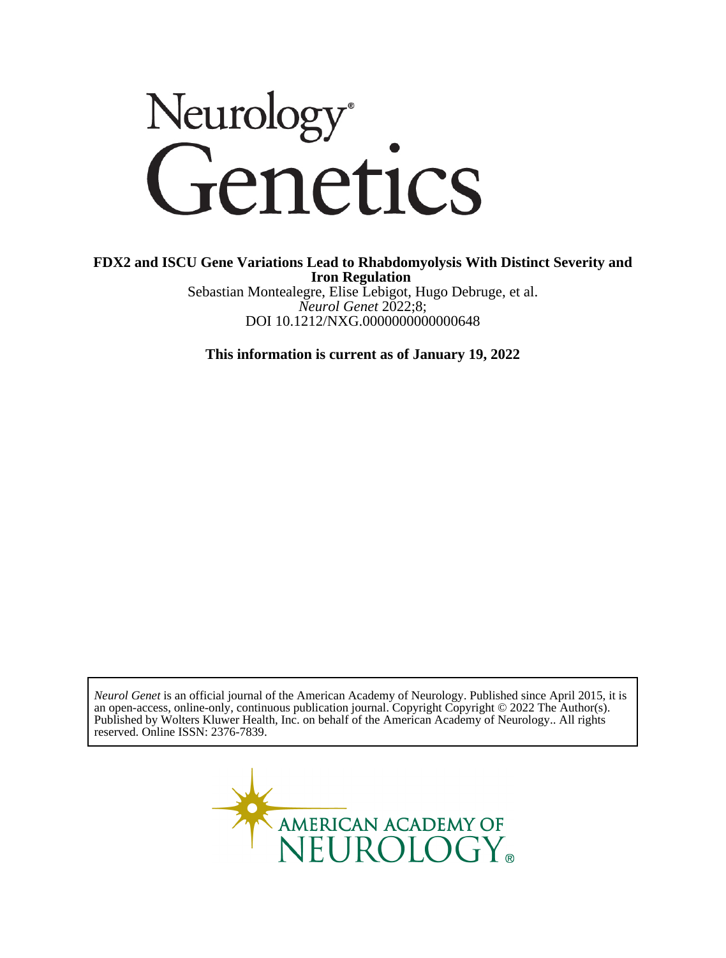

### **Iron Regulation FDX2 and ISCU Gene Variations Lead to Rhabdomyolysis With Distinct Severity and**

DOI 10.1212/NXG.0000000000000648 *Neurol Genet* 2022;8; Sebastian Montealegre, Elise Lebigot, Hugo Debruge, et al.

**This information is current as of January 19, 2022**

reserved. Online ISSN: 2376-7839. Published by Wolters Kluwer Health, Inc. on behalf of the American Academy of Neurology.. All rights an open-access, online-only, continuous publication journal. Copyright Copyright © 2022 The Author(s). *Neurol Genet* is an official journal of the American Academy of Neurology. Published since April 2015, it is